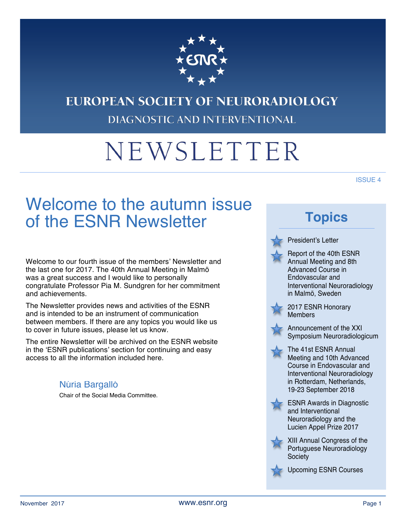

# **EUROPEAN SOCIETY OF NEURORADIOLOGY** DIAGNOSTIC AND INTERVENTIONAL

# NEWSLETTER

ISSUE 4

# Welcome to the autumn issue of the ESNR Newsletter

Welcome to our fourth issue of the members' Newsletter and the last one for 2017. The 40th Annual Meeting in Malmö was a great success and I would like to personally congratulate Professor Pia M. Sundgren for her commitment and achievements.

The Newsletter provides news and activities of the ESNR and is intended to be an instrument of communication between members. If there are any topics you would like us to cover in future issues, please let us know.

The entire Newsletter will be archived on the ESNR website in the 'ESNR publications' section for continuing and easy access to all the information included here.

#### Núria Bargalló

Chair of the Social Media Committee.

# **Topics**

#### President's Letter



Report of the 40th ESNR Annual Meeting and 8th Advanced Course in Endovascular and Interventional Neuroradiology in Malmö, Sweden





Announcement of the XXI Symposium Neuroradiologicum

The 41st ESNR Annual Meeting and 10th Advanced Course in Endovascular and Interventional Neuroradiology in Rotterdam, Netherlands, 19-23 September 2018



ESNR Awards in Diagnostic and Interventional Neuroradiology and the Lucien Appel Prize 2017



XIII Annual Congress of the Portuguese Neuroradiology **Society** 



Upcoming ESNR Courses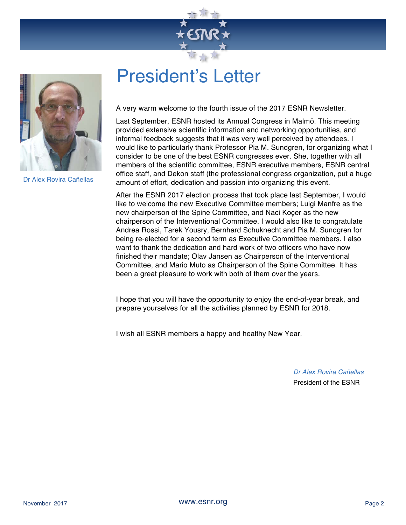



Dr Alex Rovira Cañellas

# President's Letter

A very warm welcome to the fourth issue of the 2017 ESNR Newsletter.

Last September, ESNR hosted its Annual Congress in Malmö. This meeting provided extensive scientific information and networking opportunities, and informal feedback suggests that it was very well perceived by attendees. I would like to particularly thank Professor Pia M. Sundgren, for organizing what I consider to be one of the best ESNR congresses ever. She, together with all members of the scientific committee, ESNR executive members, ESNR central office staff, and Dekon staff (the professional congress organization, put a huge amount of effort, dedication and passion into organizing this event.

After the ESNR 2017 election process that took place last September, I would like to welcome the new Executive Committee members; Luigi Manfre as the new chairperson of the Spine Committee, and Naci Koçer as the new chairperson of the Interventional Committee. I would also like to congratulate Andrea Rossi, Tarek Yousry, Bernhard Schuknecht and Pia M. Sundgren for being re-elected for a second term as Executive Committee members. I also want to thank the dedication and hard work of two officers who have now finished their mandate; Olav Jansen as Chairperson of the Interventional Committee, and Mario Muto as Chairperson of the Spine Committee. It has been a great pleasure to work with both of them over the years.

I hope that you will have the opportunity to enjoy the end-of-year break, and prepare yourselves for all the activities planned by ESNR for 2018.

I wish all ESNR members a happy and healthy New Year.

*Dr Alex Rovira Cañellas* President of the ESNR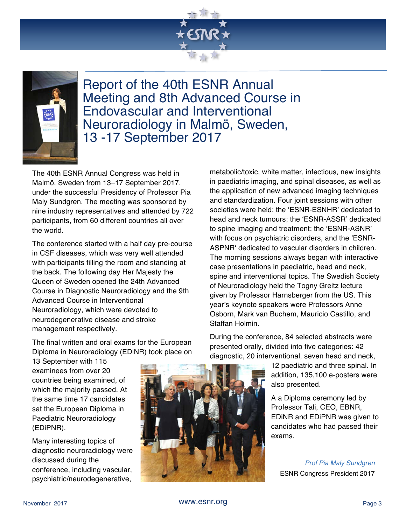



Report of the 40th ESNR Annual Meeting and 8th Advanced Course in Endovascular and Interventional Neuroradiology in Malmö, Sweden, 13 -17 September 2017

The 40th ESNR Annual Congress was held in Malmö, Sweden from 13–17 September 2017, under the successful Presidency of Professor Pia Maly Sundgren. The meeting was sponsored by nine industry representatives and attended by 722 participants, from 60 different countries all over the world.

The conference started with a half day pre-course in CSF diseases, which was very well attended with participants filling the room and standing at the back. The following day Her Majesty the Queen of Sweden opened the 24th Advanced Course in Diagnostic Neuroradiology and the 9th Advanced Course in Interventional Neuroradiology, which were devoted to neurodegenerative disease and stroke management respectively.

The final written and oral exams for the European Diploma in Neuroradiology (EDiNR) took place on

13 September with 115 examinees from over 20 countries being examined, of which the majority passed. At the same time 17 candidates sat the European Diploma in Paediatric Neuroradiology (EDiPNR).

Many interesting topics of diagnostic neuroradiology were discussed during the conference, including vascular, psychiatric/neurodegenerative,



metabolic/toxic, white matter, infectious, new insights in paediatric imaging, and spinal diseases, as well as the application of new advanced imaging techniques and standardization. Four joint sessions with other societies were held: the 'ESNR-ESNHR' dedicated to head and neck tumours; the 'ESNR-ASSR' dedicated to spine imaging and treatment; the 'ESNR-ASNR' with focus on psychiatric disorders, and the 'ESNR-ASPNR' dedicated to vascular disorders in children. The morning sessions always began with interactive case presentations in paediatric, head and neck, spine and interventional topics. The Swedish Society of Neuroradiology held the Togny Greitz lecture given by Professor Harnsberger from the US. This year's keynote speakers were Professors Anne Osborn, Mark van Buchem, Mauricio Castillo, and Staffan Holmin.

During the conference, 84 selected abstracts were presented orally, divided into five categories: 42 diagnostic, 20 interventional, seven head and neck,

> 12 paediatric and three spinal. In addition, 135,100 e-posters were also presented.

A a Diploma ceremony led by Professor Tali, CEO, EBNR, EDiNR and EDiPNR was given to candidates who had passed their exams.

*Prof Pia Maly Sundgren* ESNR Congress President 2017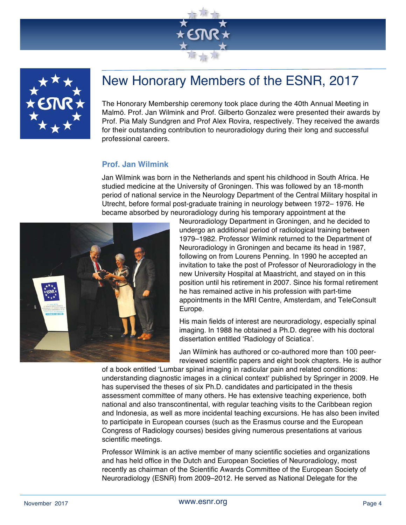



## New Honorary Members of the ESNR, 2017

The Honorary Membership ceremony took place during the 40th Annual Meeting in Malmö. Prof. Jan Wilmink and Prof. Gilberto Gonzalez were presented their awards by Prof. Pia Maly Sundgren and Prof Alex Rovira, respectively. They received the awards for their outstanding contribution to neuroradiology during their long and successful professional careers.

#### **Prof. Jan Wilmink**

Jan Wilmink was born in the Netherlands and spent his childhood in South Africa. He studied medicine at the University of Groningen. This was followed by an 18-month period of national service in the Neurology Department of the Central Military hospital in Utrecht, before formal post-graduate training in neurology between 1972– 1976. He became absorbed by neuroradiology during his temporary appointment at the



Neuroradiology Department in Groningen, and he decided to undergo an additional period of radiological training between 1979–1982. Professor Wilmink returned to the Department of Neuroradiology in Groningen and became its head in 1987, following on from Lourens Penning. In 1990 he accepted an invitation to take the post of Professor of Neuroradiology in the new University Hospital at Maastricht, and stayed on in this position until his retirement in 2007. Since his formal retirement he has remained active in his profession with part-time appointments in the MRI Centre, Amsterdam, and TeleConsult Europe.

His main fields of interest are neuroradiology, especially spinal imaging. In 1988 he obtained a Ph.D. degree with his doctoral dissertation entitled 'Radiology of Sciatica'.

Jan Wilmink has authored or co-authored more than 100 peerreviewed scientific papers and eight book chapters. He is author

of a book entitled 'Lumbar spinal imaging in radicular pain and related conditions: understanding diagnostic images in a clinical context' published by Springer in 2009. He has supervised the theses of six Ph.D. candidates and participated in the thesis assessment committee of many others. He has extensive teaching experience, both national and also transcontinental, with regular teaching visits to the Caribbean region and Indonesia, as well as more incidental teaching excursions. He has also been invited to participate in European courses (such as the Erasmus course and the European Congress of Radiology courses) besides giving numerous presentations at various scientific meetings.

Professor Wilmink is an active member of many scientific societies and organizations and has held office in the Dutch and European Societies of Neuroradiology, most recently as chairman of the Scientific Awards Committee of the European Society of Neuroradiology (ESNR) from 2009–2012. He served as National Delegate for the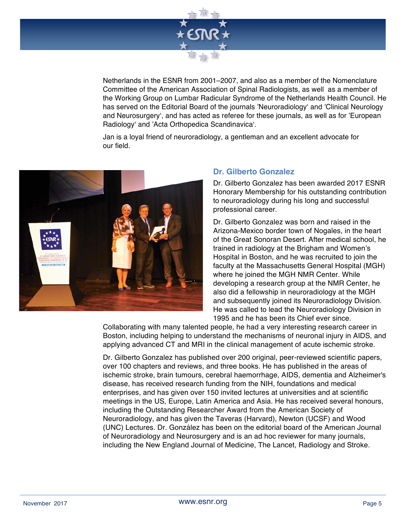

Netherlands in the ESNR from 2001–2007, and also as a member of the Nomenclature Committee of the American Association of Spinal Radiologists, as well as a member of the Working Group on Lumbar Radicular Syndrome of the Netherlands Health Council. He has served on the Editorial Board of the journals 'Neuroradiology' and 'Clinical Neurology and Neurosurgery', and has acted as referee for these journals, as well as for 'European Radiology' and 'Acta Orthopedica Scandinavica'.

Jan is a loyal friend of neuroradiology, a gentleman and an excellent advocate for our field.



#### **Dr. Gilberto Gonzalez**

Dr. Gilberto Gonzalez has been awarded 2017 ESNR Honorary Membership for his outstanding contribution to neuroradiology during his long and successful professional career.

Dr. Gilberto Gonzalez was born and raised in the Arizona-Mexico border town of Nogales, in the heart of the Great Sonoran Desert. After medical school, he trained in radiology at the Brigham and Women's Hospital in Boston, and he was recruited to join the faculty at the Massachusetts General Hospital (MGH) where he joined the MGH NMR Center. While developing a research group at the NMR Center, he also did a fellowship in neuroradiology at the MGH and subsequently joined its Neuroradiology Division. He was called to lead the Neuroradiology Division in 1995 and he has been its Chief ever since.

Collaborating with many talented people, he had a very interesting research career in Boston, including helping to understand the mechanisms of neuronal injury in AIDS, and applying advanced CT and MRI in the clinical management of acute ischemic stroke.

Dr. Gilberto Gonzalez has published over 200 original, peer-reviewed scientific papers, over 100 chapters and reviews, and three books. He has published in the areas of ischemic stroke, brain tumours, cerebral haemorrhage, AIDS, dementia and Alzheimer's disease, has received research funding from the NIH, foundations and medical enterprises, and has given over 150 invited lectures at universities and at scientific meetings in the US, Europe, Latin America and Asia. He has received several honours, including the Outstanding Researcher Award from the American Society of Neuroradiology, and has given the Taveras (Harvard), Newton (UCSF) and Wood (UNC) Lectures. Dr. González has been on the editorial board of the American Journal of Neuroradiology and Neurosurgery and is an ad hoc reviewer for many journals, including the New England Journal of Medicine, The Lancet, Radiology and Stroke.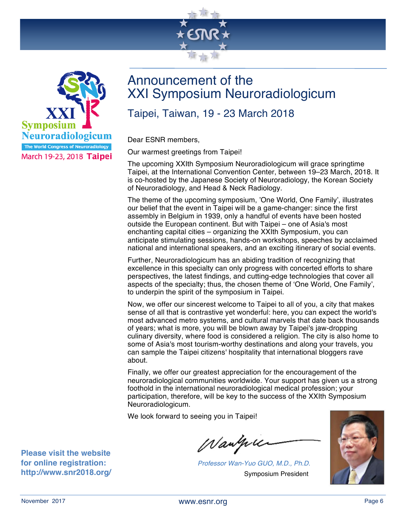



### Announcement of the XXI Symposium Neuroradiologicum

### Taipei, Taiwan, 19 - 23 March 2018

Dear ESNR members,

Our warmest greetings from Taipei!

The upcoming XXIth Symposium Neuroradiologicum will grace springtime Taipei, at the International Convention Center, between 19–23 March, 2018. It is co-hosted by the Japanese Society of Neuroradiology, the Korean Society of Neuroradiology, and Head & Neck Radiology.

The theme of the upcoming symposium, 'One World, One Family', illustrates our belief that the event in Taipei will be a game-changer: since the first assembly in Belgium in 1939, only a handful of events have been hosted outside the European continent. But with Taipei – one of Asia's most enchanting capital cities – organizing the XXIth Symposium, you can anticipate stimulating sessions, hands-on workshops, speeches by acclaimed national and international speakers, and an exciting itinerary of social events.

Further, Neuroradiologicum has an abiding tradition of recognizing that excellence in this specialty can only progress with concerted efforts to share perspectives, the latest findings, and cutting-edge technologies that cover all aspects of the specialty; thus, the chosen theme of 'One World, One Family', to underpin the spirit of the symposium in Taipei.

Now, we offer our sincerest welcome to Taipei to all of you, a city that makes sense of all that is contrastive yet wonderful: here, you can expect the world's most advanced metro systems, and cultural marvels that date back thousands of years; what is more, you will be blown away by Taipei's jaw-dropping culinary diversity, where food is considered a religion. The city is also home to some of Asia's most tourism-worthy destinations and along your travels, you can sample the Taipei citizens' hospitality that international bloggers rave about.

Finally, we offer our greatest appreciation for the encouragement of the neuroradiological communities worldwide. Your support has given us a strong foothold in the international neuroradiological medical profession; your participation, therefore, will be key to the success of the XXIth Symposium Neuroradiologicum.

We look forward to seeing you in Taipei!

Wangui

*Professor Wan-Yuo GUO, M.D., Ph.D.* Symposium President



**Please visit the website for online registration: http://www.snr2018.org/**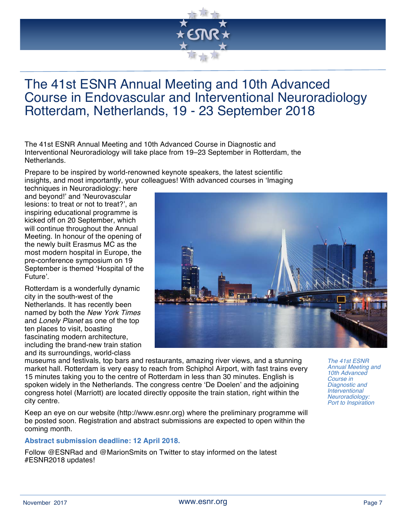

### The 41st ESNR Annual Meeting and 10th Advanced Course in Endovascular and Interventional Neuroradiology Rotterdam, Netherlands, 19 - 23 September 2018

The 41st ESNR Annual Meeting and 10th Advanced Course in Diagnostic and Interventional Neuroradiology will take place from 19–23 September in Rotterdam, the Netherlands.

Prepare to be inspired by world-renowned keynote speakers, the latest scientific insights, and most importantly, your colleagues! With advanced courses in 'Imaging

techniques in Neuroradiology: here and beyond!' and 'Neurovascular lesions: to treat or not to treat?', an inspiring educational programme is kicked off on 20 September, which will continue throughout the Annual Meeting. In honour of the opening of the newly built Erasmus MC as the most modern hospital in Europe, the pre-conference symposium on 19 September is themed 'Hospital of the Future'.

Rotterdam is a wonderfully dynamic city in the south-west of the Netherlands. It has recently been named by both the *New York Times* and *Lonely Planet* as one of the top ten places to visit, boasting fascinating modern architecture, including the brand-new train station and its surroundings, world-class



museums and festivals, top bars and restaurants, amazing river views, and a stunning market hall. Rotterdam is very easy to reach from Schiphol Airport, with fast trains every 15 minutes taking you to the centre of Rotterdam in less than 30 minutes. English is spoken widely in the Netherlands. The congress centre 'De Doelen' and the adjoining congress hotel (Marriott) are located directly opposite the train station, right within the city centre.

Keep an eye on our website (http://www.esnr.org) where the preliminary programme will be posted soon. Registration and abstract submissions are expected to open within the coming month.

#### **Abstract submission deadline: 12 April 2018.**

Follow @ESNRad and @MarionSmits on Twitter to stay informed on the latest #ESNR2018 updates!

*The 41st ESNR Annual Meeting and 10th Advanced Course in Diagnostic and Interventional Neuroradiology: Port to Inspiration*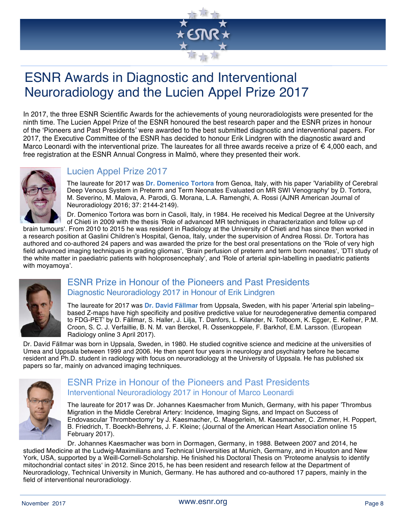# ESNR Awards in Diagnostic and Interventional Neuroradiology and the Lucien Appel Prize 2017

In 2017, the three ESNR Scientific Awards for the achievements of young neuroradiologists were presented for the ninth time. The Lucien Appel Prize of the ESNR honoured the best research paper and the ESNR prizes in honour of the 'Pioneers and Past Presidents' were awarded to the best submitted diagnostic and interventional papers. For 2017, the Executive Committee of the ESNR has decided to honour Erik Lindgren with the diagnostic award and Marco Leonardi with the interventional prize. The laureates for all three awards receive a prize of  $\epsilon$  4,000 each, and free registration at the ESNR Annual Congress in Malmö, where they presented their work.



### Lucien Appel Prize 2017

The laureate for 2017 was **Dr. Domenico Tortora** from Genoa, Italy, with his paper 'Variability of Cerebral Deep Venous System in Preterm and Term Neonates Evaluated on MR SWI Venography' by D. Tortora, M. Severino, M. Malova, A. Parodi, G. Morana, L.A. Ramenghi, A. Rossi (AJNR American Journal of Neuroradiology 2016; 37: 2144-2149).

Dr. Domenico Tortora was born in Casoli, Italy, in 1984. He received his Medical Degree at the University of Chieti in 2009 with the thesis 'Role of advanced MR techniques in characterization and follow up of

brain tumours'. From 2010 to 2015 he was resident in Radiology at the University of Chieti and has since then worked in a research position at Gaslini Children's Hospital, Genoa, Italy, under the supervision of Andrea Rossi. Dr. Tortora has authored and co-authored 24 papers and was awarded the prize for the best oral presentations on the 'Role of very high field advanced imaging techniques in grading gliomas', 'Brain perfusion of preterm and term born neonates', 'DTI study of the white matter in paediatric patients with holoprosencephaly', and 'Role of arterial spin-labelling in paediatric patients with moyamoya'.



#### ESNR Prize in Honour of the Pioneers and Past Presidents Diagnostic Neuroradiology 2017 in Honour of Erik Lindgren

The laureate for 2017 was **Dr. David Fällmar** from Uppsala, Sweden, with his paper 'Arterial spin labeling– based Z-maps have high specificity and positive predictive value for neurodegenerative dementia compared to FDG-PET' by D. Fällmar, S. Haller, J. Lilja, T. Danfors, L. Kilander, N. Tolboom, K. Egger, E. Kellner, P.M. Croon, S. C. J. Verfaillie, B. N. M. van Berckel, R. Ossenkoppele, F. Barkhof, E.M. Larsson. (European Radiology online 3 April 2017).

Dr. David Fällmar was born in Uppsala, Sweden, in 1980. He studied cognitive science and medicine at the universities of Umea and Uppsala between 1999 and 2006. He then spent four years in neurology and psychiatry before he became resident and Ph.D. student in radiology with focus on neuroradiology at the University of Uppsala. He has published six papers so far, mainly on advanced imaging techniques.



#### ESNR Prize in Honour of the Pioneers and Past Presidents Interventional Neuroradiology 2017 in Honour of Marco Leonardi

The laureate for 2017 was Dr. Johannes Kaesmacher from Munich, Germany, with his paper 'Thrombus Migration in the Middle Cerebral Artery: Incidence, Imaging Signs, and Impact on Success of Endovascular Thrombectomy' by J. Kaesmacher, C. Maegerlein, M. Kaesmacher, C. Zimmer, H. Poppert, B. Friedrich, T. Boeckh-Behrens, J. F. Kleine; (Journal of the American Heart Association online 15 February 2017).

Dr. Johannes Kaesmacher was born in Dormagen, Germany, in 1988. Between 2007 and 2014, he studied Medicine at the Ludwig-Maximilians and Technical Universities at Munich, Germany, and in Houston and New York, USA, supported by a Weill-Cornell-Scholarship. He finished his Doctoral Thesis on 'Proteome analysis to identify mitochondrial contact sites' in 2012. Since 2015, he has been resident and research fellow at the Department of Neuroradiology, Technical University in Munich, Germany. He has authored and co-authored 17 papers, mainly in the field of interventional neuroradiology.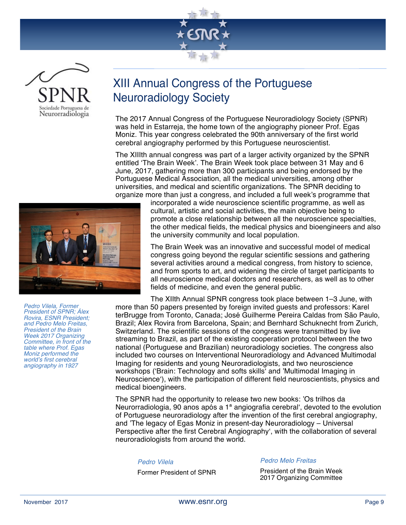



### XIII Annual Congress of the Portuguese Neuroradiology Society

The 2017 Annual Congress of the Portuguese Neuroradiology Society (SPNR) was held in Estarreja, the home town of the angiography pioneer Prof. Egas Moniz. This year congress celebrated the 90th anniversary of the first world cerebral angiography performed by this Portuguese neuroscientist.

The XIIIth annual congress was part of a larger activity organized by the SPNR entitled 'The Brain Week'. The Brain Week took place between 31 May and 6 June, 2017, gathering more than 300 participants and being endorsed by the Portuguese Medical Association, all the medical universities, among other universities, and medical and scientific organizations. The SPNR deciding to organize more than just a congress, and included a full week's programme that



incorporated a wide neuroscience scientific programme, as well as cultural, artistic and social activities, the main objective being to promote a close relationship between all the neuroscience specialties, the other medical fields, the medical physics and bioengineers and also the university community and local population.

The Brain Week was an innovative and successful model of medical congress going beyond the regular scientific sessions and gathering several activities around a medical congress, from history to science, and from sports to art, and widening the circle of target participants to all neuroscience medical doctors and researchers, as well as to other fields of medicine, and even the general public.

The XIIth Annual SPNR congress took place between 1–3 June, with more than 50 papers presented by foreign invited guests and professors: Karel terBrugge from Toronto, Canada; José Guilherme Pereira Caldas from São Paulo, Brazil; Alex Rovira from Barcelona, Spain; and Bernhard Schuknecht from Zurich, Switzerland. The scientific sessions of the congress were transmitted by live streaming to Brazil, as part of the existing cooperation protocol between the two national (Portuguese and Brazilian) neuroradiology societies. The congress also included two courses on Interventional Neuroradiology and Advanced Multimodal Imaging for residents and young Neuroradiologists, and two neuroscience workshops ('Brain: Technology and softs skills' and 'Multimodal Imaging in Neuroscience'), with the participation of different field neuroscientists, physics and medical bioengineers.

The SPNR had the opportunity to release two new books: 'Os trilhos da Neurorradiologia, 90 anos após a 1ª angiografia cerebral', devoted to the evolution of Portuguese neuroradiology after the invention of the first cerebral angiography, and 'The legacy of Egas Moniz in present-day Neuroradiology – Universal Perspective after the first Cerebral Angiography', with the collaboration of several neuroradiologists from around the world.

#### *Pedro Vilela*

Former President of SPNR

#### *Pedro Melo Freitas*

President of the Brain Week 2017 Organizing Committee

*Pedro Vilela, Former President of SPNR; Àlex Rovira, ESNR President; and Pedro Melo Freitas, President of the Brain Week 2017 Organizing Committee, in front of the table where Prof. Egas Moniz performed the world's first cerebral angiography in 1927*